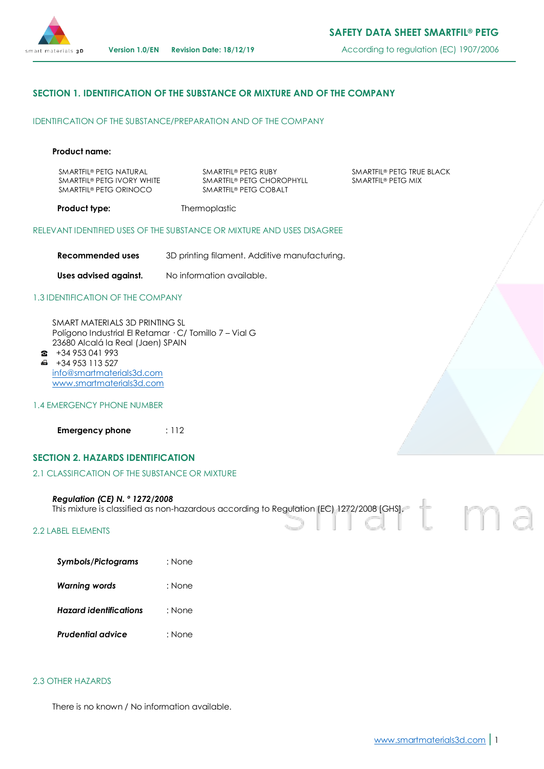

**Version 1.0/EN Revision Date: 18/12/19** According to regulation (EC) 1907/2006

# **SECTION 1. IDENTIFICATION OF THE SUBSTANCE OR MIXTURE AND OF THE COMPANY**

IDENTIFICATION OF THE SUBSTANCE/PREPARATION AND OF THE COMPANY

#### **Product name:**

SMARTFIL® PETG NATURAL SMARTFIL® PETG IVORY WHITE SMARTFIL® PETG ORINOCO

SMARTFIL® PETG RUBY SMARTFIL® PETG CHOROPHYLL SMARTFIL® PETG COBALT

SMARTFIL® PETG TRUE BLACK SMARTFIL® PETG MIX

**Product type:** Thermoplastic

RELEVANT IDENTIFIED USES OF THE SUBSTANCE OR MIXTURE AND USES DISAGREE

**Recommended uses** 3D printing filament. Additive manufacturing.

**Uses advised against.** No information available.

## 1.3 IDENTIFICATION OF THE COMPANY

SMART MATERIALS 3D PRINTING SL Polígono Industrial El Retamar · C/ Tomillo 7 – Vial G 23680 Alcalá la Real (Jaen) SPAIN

- $\bullet$  +34 953 041 993  $\bigoplus$  +34 953 113 527 [info@smartmaterials3d.com](mailto:info@smartmaterials3d.com) [www.smartmaterials3d.com](http://www.smartmaterials3d.com/)
- 1.4 EMERGENCY PHONE NUMBER

**Emergency phone** : 112

# **SECTION 2. HAZARDS IDENTIFICATION**

#### 2.1 CLASSIFICATION OF THE SUBSTANCE OR MIXTURE

#### *Regulation (CE) N. º 1272/2008*

This mixture is classified as non-hazardous according to Regulation (EC) 1272/2008 [GHS].

## 2.2 LABEL ELEMENTS

| <b>Symbols/Pictograms</b> | : None |
|---------------------------|--------|
|                           |        |

| Warning words | : None |
|---------------|--------|
|---------------|--------|

- *Hazard identifications* : None
- *Prudential advice* : None

#### 2.3 OTHER HAZARDS

There is no known / No information available.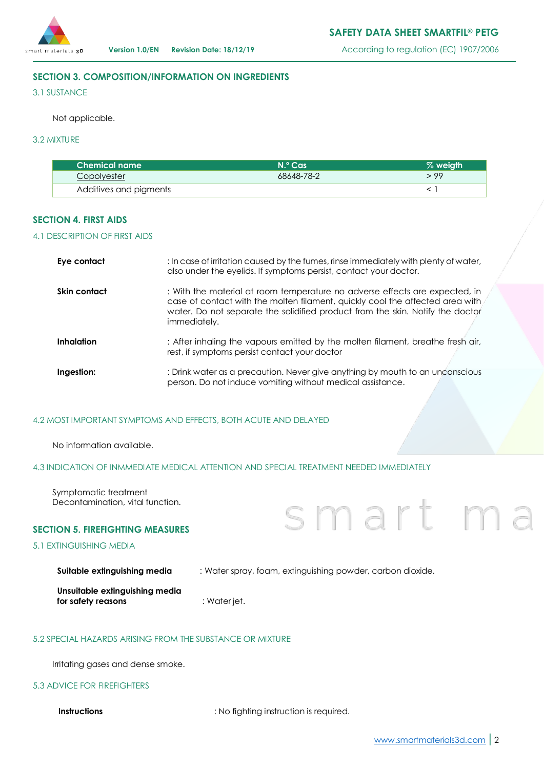

# **SECTION 3. COMPOSITION/INFORMATION ON INGREDIENTS**

3.1 SUSTANCE

Not applicable.

# 3.2 MIXTURE

| <b>Chemical name</b>   | $N$ <sup>o</sup> Cas | % weigth |
|------------------------|----------------------|----------|
| Copolyester            | 68648-78-2           | 99 د     |
| Additives and pigments |                      |          |

# **SECTION 4. FIRST AIDS**

## 4.1 DESCRIPTION OF FIRST AIDS

| Eye contact       | : In case of irritation caused by the fumes, rinse immediately with plenty of water,<br>also under the eyelids. If symptoms persist, contact your doctor.                                                                                                      |
|-------------------|----------------------------------------------------------------------------------------------------------------------------------------------------------------------------------------------------------------------------------------------------------------|
| Skin contact      | : With the material at room temperature no adverse effects are expected, in<br>case of contact with the molten filament, quickly cool the affected area with<br>water. Do not separate the solidified product from the skin. Notify the doctor<br>immediately. |
| <b>Inhalation</b> | : After inhaling the vapours emitted by the molten filament, breathe fresh air,<br>rest, if symptoms persist contact your doctor                                                                                                                               |
| Ingestion:        | : Drink water as a precaution. Never give anything by mouth to an unconscious<br>person. Do not induce vomiting without medical assistance.                                                                                                                    |

## 4.2 MOST IMPORTANT SYMPTOMS AND EFFECTS, BOTH ACUTE AND DELAYED

No information available.

# 4.3 INDICATION OF INMMEDIATE MEDICAL ATTENTION AND SPECIAL TREATMENT NEEDED IMMEDIATELY

Symptomatic treatment Decontamination, vital function.

## **SECTION 5. FIREFIGHTING MEASURES**

# 5.1 EXTINGUISHING MEDIA

| Suitable extinguishing media | : Water spray, foam, extinguishing powder, carbon dioxide. |  |  |  |
|------------------------------|------------------------------------------------------------|--|--|--|
|                              |                                                            |  |  |  |

| Unsuitable extinguishing media |              |
|--------------------------------|--------------|
| for safety reasons             | : Water jet. |

# 5.2 SPECIAL HAZARDS ARISING FROM THE SUBSTANCE OR MIXTURE

Irritating gases and dense smoke.

## 5.3 ADVICE FOR FIREFIGHTERS

**Instructions** : No fighting instruction is required.

smart m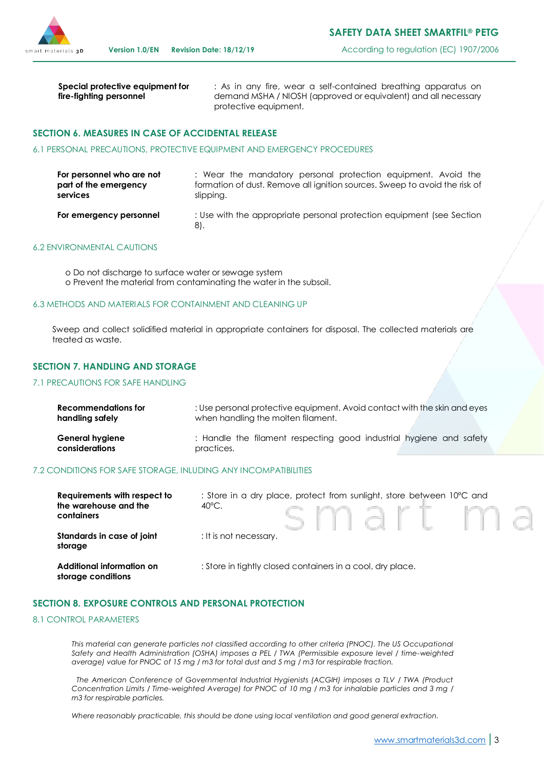

**Special protective equipment for fire-fighting personnel**

: As in any fire, wear a self-contained breathing apparatus on demand MSHA / NIOSH (approved or equivalent) and all necessary protective equipment.

## **SECTION 6. MEASURES IN CASE OF ACCIDENTAL RELEASE**

#### 6.1 PERSONAL PRECAUTIONS, PROTECTIVE EQUIPMENT AND EMERGENCY PROCEDURES

| For personnel who are not | : Wear the mandatory personal protection equipment. Avoid the                |
|---------------------------|------------------------------------------------------------------------------|
| part of the emergency     | formation of dust. Remove all ignition sources. Sweep to avoid the risk of   |
| services                  | slipping.                                                                    |
| For emergency personnel   | : Use with the appropriate personal protection equipment (see Section<br>81. |

## 6.2 ENVIRONMENTAL CAUTIONS

o Do not discharge to surface water or sewage system o Prevent the material from contaminating the water in the subsoil.

#### 6.3 METHODS AND MATERIALS FOR CONTAINMENT AND CLEANING UP

Sweep and collect solidified material in appropriate containers for disposal. The collected materials are treated as waste.

## **SECTION 7. HANDLING AND STORAGE**

#### 7.1 PRECAUTIONS FOR SAFE HANDLING

| Recommendations for    | : Use personal protective equipment. Avoid contact with the skin and eyes |
|------------------------|---------------------------------------------------------------------------|
| handling safely        | when handling the molten filament.                                        |
| <b>General hygiene</b> | : Handle the filament respecting good industrial hygiene and safety       |
| considerations         | practices.                                                                |

#### 7.2 CONDITIONS FOR SAFE STORAGE, INLUDING ANY INCOMPATIBILITIES

| Requirements with respect to<br>the warehouse and the<br>containers | : Store in a dry place, protect from sunlight, store between 10°C and<br>$40^{\circ}$ C.<br>smartma |
|---------------------------------------------------------------------|-----------------------------------------------------------------------------------------------------|
| Standards in case of joint<br>storage                               | : It is not necessary.                                                                              |
| Additional information on<br>storage conditions                     | : Store in tightly closed containers in a cool, dry place.                                          |

#### **SECTION 8. EXPOSURE CONTROLS AND PERSONAL PROTECTION**

#### 8.1 CONTROL PARAMETERS

*This material can generate particles not classified according to other criteria (PNOC). The US Occupational Safety and Health Administration (OSHA) imposes a PEL / TWA (Permissible exposure level / time-weighted average) value for PNOC of 15 mg / m3 for total dust and 5 mg / m3 for respirable fraction.*

*The American Conference of Governmental Industrial Hygienists (ACGIH) imposes a TLV / TWA (Product Concentration Limits / Time-weighted Average) for PNOC of 10 mg / m3 for inhalable particles and 3 mg / m3 for respirable particles.*

*Where reasonably practicable, this should be done using local ventilation and good general extraction.*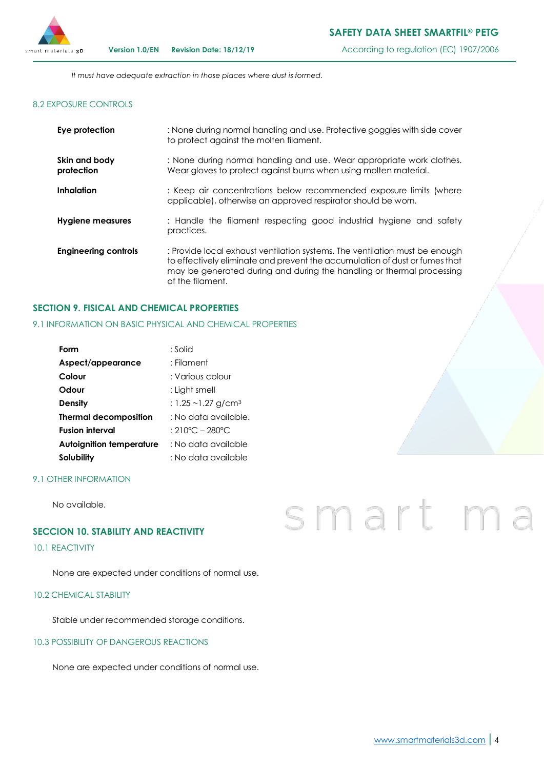

*It must have adequate extraction in those places where dust is formed.*

# 8.2 EXPOSURE CONTROLS

| Eye protection              | : None during normal handling and use. Protective goggles with side cover<br>to protect against the molten filament.                                                                                                                                    |
|-----------------------------|---------------------------------------------------------------------------------------------------------------------------------------------------------------------------------------------------------------------------------------------------------|
| Skin and body<br>protection | : None during normal handling and use. Wear appropriate work clothes.<br>Wear gloves to protect against burns when using molten material.                                                                                                               |
| Inhalation                  | : Keep air concentrations below recommended exposure limits (where<br>applicable), otherwise an approved respirator should be worn.                                                                                                                     |
| <b>Hygiene measures</b>     | : Handle the filament respecting good industrial hygiene and safety<br>practices.                                                                                                                                                                       |
| <b>Engineering controls</b> | : Provide local exhaust ventilation systems. The ventilation must be enough<br>to effectively eliminate and prevent the accumulation of dust or fumes that<br>may be generated during and during the handling or thermal processing<br>of the filament. |

# **SECTION 9. FISICAL AND CHEMICAL PROPERTIES**

# 9.1 INFORMATION ON BASIC PHYSICAL AND CHEMICAL PROPERTIES

| Form                            | : Solid                             |
|---------------------------------|-------------------------------------|
| Aspect/appearance               | : Filament                          |
| Colour                          | : Various colour                    |
| Odour                           | : Light smell                       |
| Density                         | : 1.25 ~1.27 g/cm <sup>3</sup>      |
| <b>Thermal decomposition</b>    | : No data available.                |
| <b>Fusion interval</b>          | $:210^{\circ}$ C – 280 $^{\circ}$ C |
| <b>Autoignition temperature</b> | : No data available                 |
| Solubility                      | : No data available                 |

#### 9.1 OTHER INFORMATION

No available.

## **SECCION 10. STABILITY AND REACTIVITY**

# 10.1 REACTIVITY

None are expected under conditions of normal use.

## 10.2 CHEMICAL STABILITY

Stable under recommended storage conditions.

#### 10.3 POSSIBILITY OF DANGEROUS REACTIONS

None are expected under conditions of normal use.

# smart<sub>m</sub>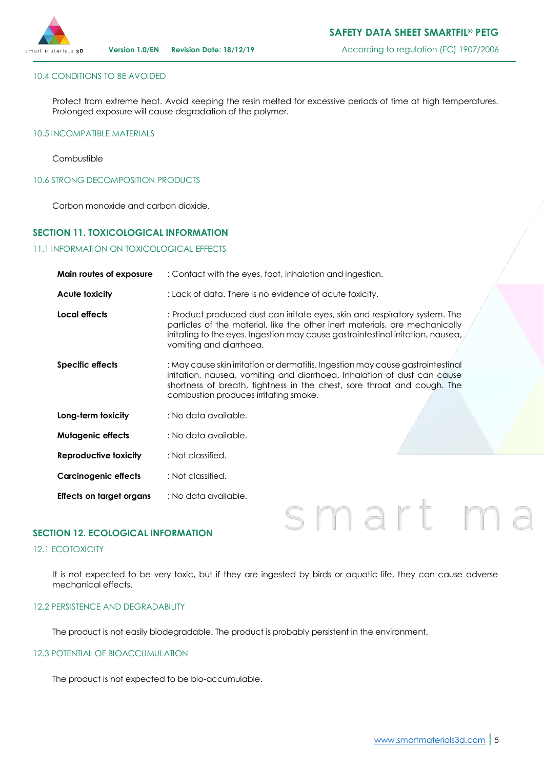

## 10.4 CONDITIONS TO BE AVOIDED

Protect from extreme heat. Avoid keeping the resin melted for excessive periods of time at high temperatures. Prolonged exposure will cause degradation of the polymer.

#### 10.5 INCOMPATIBLE MATERIALS

Combustible

10.6 STRONG DECOMPOSITION PRODUCTS

Carbon monoxide and carbon dioxide.

## **SECTION 11. TOXICOLOGICAL INFORMATION**

#### 11.1 INFORMATION ON TOXICOLOGICAL EFFECTS

| Main routes of exposure      | : Contact with the eyes, foot, inhalation and ingestion.                                                                                                                                                                                                                        |  |
|------------------------------|---------------------------------------------------------------------------------------------------------------------------------------------------------------------------------------------------------------------------------------------------------------------------------|--|
| Acute toxicity               | : Lack of data. There is no evidence of acute toxicity.                                                                                                                                                                                                                         |  |
| Local effects                | : Product produced dust can irritate eyes, skin and respiratory system. The<br>particles of the material, like the other inert materials, are mechanically<br>imitating to the eyes. Ingestion may cause gastrointestinal imitation, nausea,<br>vomiting and diarrhoea.         |  |
| <b>Specific effects</b>      | : May cause skin irritation or dermatitis. Ingestion may cause gastrointestinal<br>irritation, nausea, vomiting and diarrhoea. Inhalation of dust can cause<br>shortness of breath, tightness in the chest, sore throat and cough. The<br>combustion produces irritating smoke. |  |
| Long-term toxicity           | : No data available.                                                                                                                                                                                                                                                            |  |
| <b>Mutagenic effects</b>     | : No data available.                                                                                                                                                                                                                                                            |  |
| <b>Reproductive toxicity</b> | : Not classified.                                                                                                                                                                                                                                                               |  |
| <b>Carcinogenic effects</b>  | : Not classified.                                                                                                                                                                                                                                                               |  |
| Effects on target organs     | : No data available.                                                                                                                                                                                                                                                            |  |

## **SECTION 12. ECOLOGICAL INFORMATION**

## 12.1 ECOTOXICITY

It is not expected to be very toxic, but if they are ingested by birds or aquatic life, they can cause adverse mechanical effects.

# 12.2 PERSISTENCE AND DEGRADABILITY

The product is not easily biodegradable. The product is probably persistent in the environment.

#### 12.3 POTENTIAL OF BIOACCUMULATION

The product is not expected to be bio-accumulable.

smart m